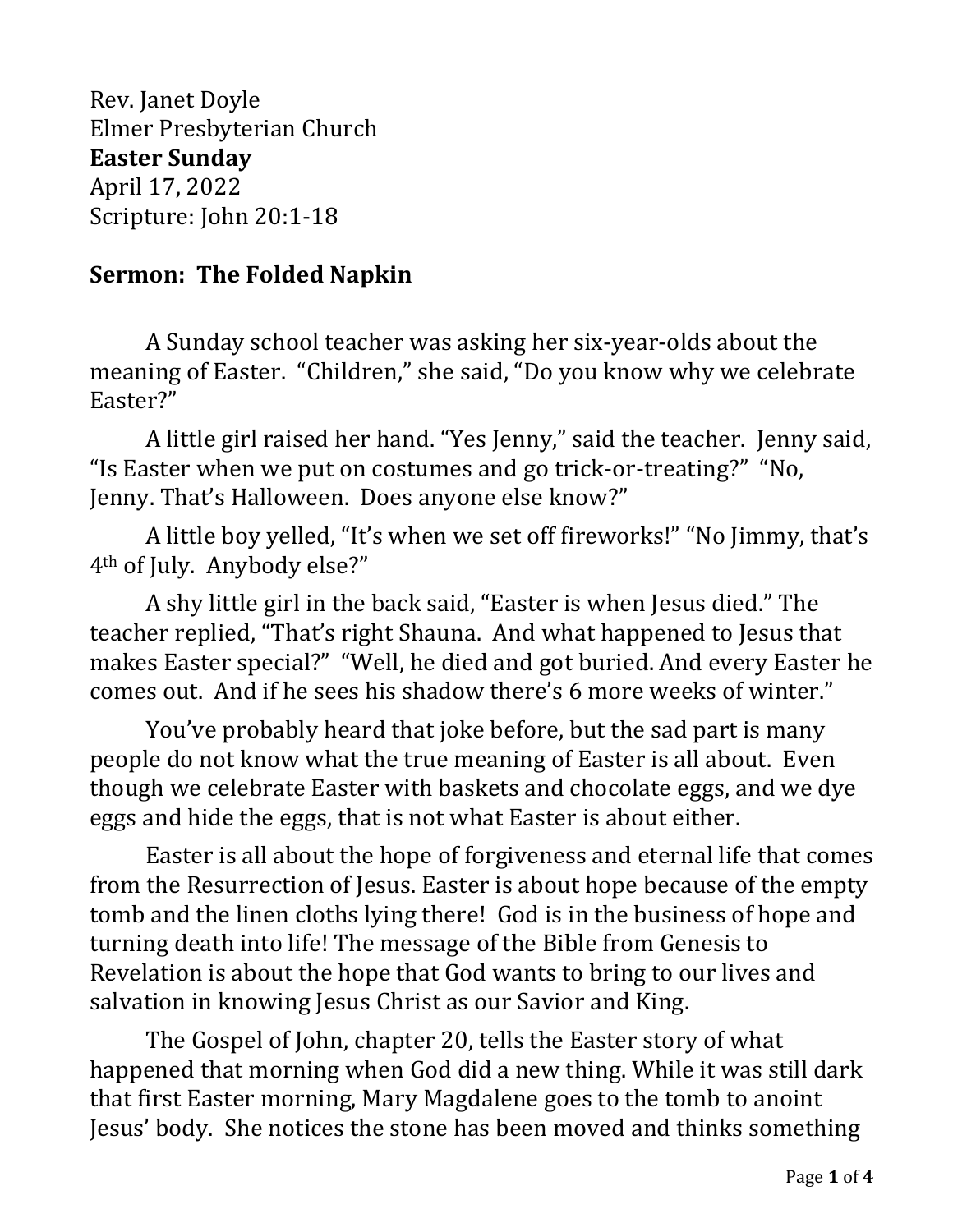Rev. Janet Doyle Elmer Presbyterian Church **Easter Sunday** April 17, 2022 Scripture: John 20:1-18

## **Sermon: The Folded Napkin**

A Sunday school teacher was asking her six-year-olds about the meaning of Easter. "Children," she said, "Do you know why we celebrate Easter?"

A little girl raised her hand. "Yes Jenny," said the teacher. Jenny said, "Is Easter when we put on costumes and go trick-or-treating?" "No, Jenny. That's Halloween. Does anyone else know?"

A little boy yelled, "It's when we set off fireworks!" "No Jimmy, that's 4th of July. Anybody else?"

A shy little girl in the back said, "Easter is when Jesus died." The teacher replied, "That's right Shauna. And what happened to Jesus that makes Easter special?" "Well, he died and got buried. And every Easter he comes out. And if he sees his shadow there's 6 more weeks of winter."

You've probably heard that joke before, but the sad part is many people do not know what the true meaning of Easter is all about. Even though we celebrate Easter with baskets and chocolate eggs, and we dye eggs and hide the eggs, that is not what Easter is about either.

Easter is all about the hope of forgiveness and eternal life that comes from the Resurrection of Jesus. Easter is about hope because of the empty tomb and the linen cloths lying there! God is in the business of hope and turning death into life! The message of the Bible from Genesis to Revelation is about the hope that God wants to bring to our lives and salvation in knowing Jesus Christ as our Savior and King.

The Gospel of John, chapter 20, tells the Easter story of what happened that morning when God did a new thing. While it was still dark that first Easter morning, Mary Magdalene goes to the tomb to anoint Jesus' body. She notices the stone has been moved and thinks something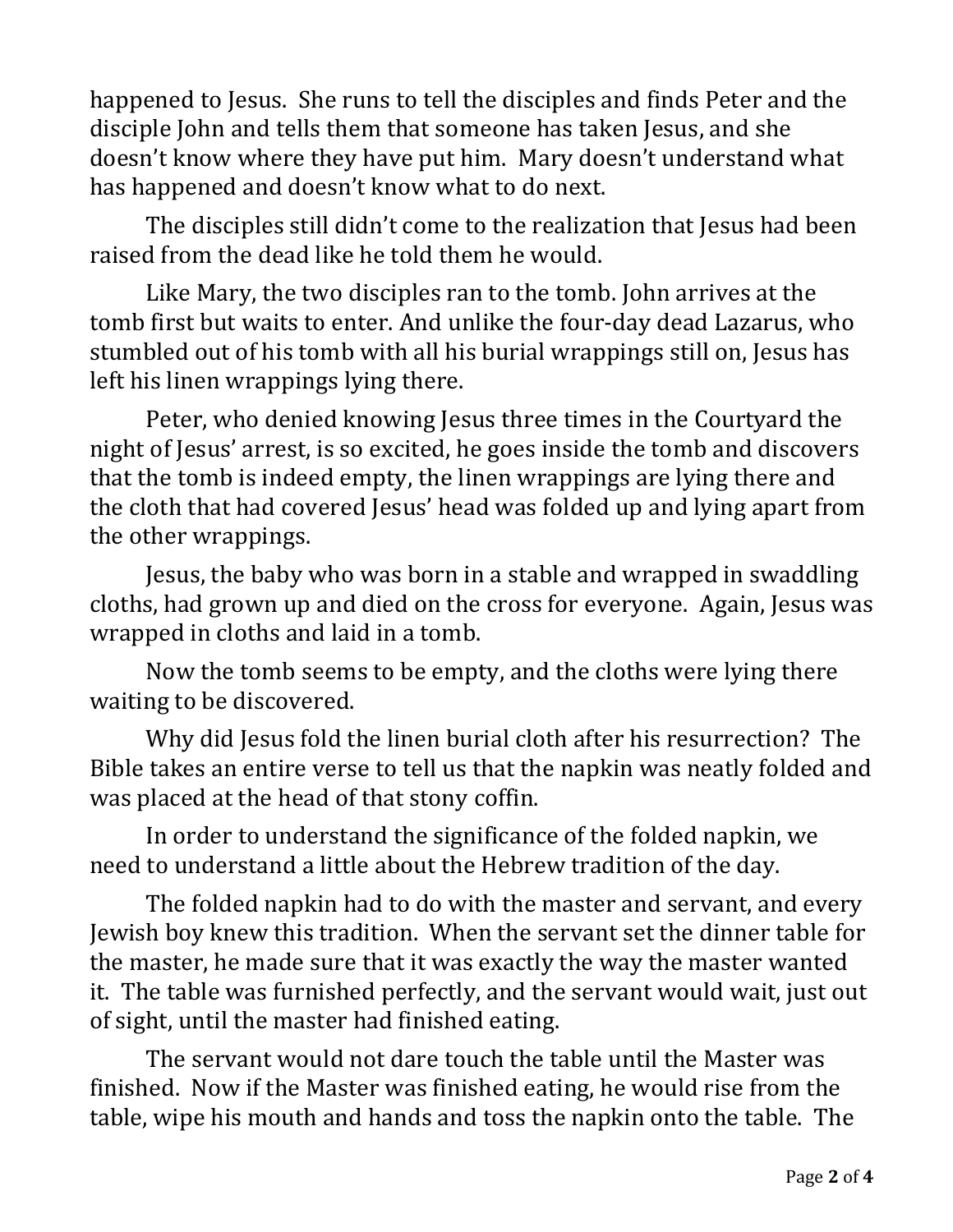happened to Jesus. She runs to tell the disciples and finds Peter and the disciple John and tells them that someone has taken Jesus, and she doesn't know where they have put him. Mary doesn't understand what has happened and doesn't know what to do next.

The disciples still didn't come to the realization that Jesus had been raised from the dead like he told them he would.

Like Mary, the two disciples ran to the tomb. John arrives at the tomb first but waits to enter. And unlike the four-day dead Lazarus, who stumbled out of his tomb with all his burial wrappings still on, Jesus has left his linen wrappings lying there.

Peter, who denied knowing Jesus three times in the Courtyard the night of Jesus' arrest, is so excited, he goes inside the tomb and discovers that the tomb is indeed empty, the linen wrappings are lying there and the cloth that had covered Jesus' head was folded up and lying apart from the other wrappings.

Jesus, the baby who was born in a stable and wrapped in swaddling cloths, had grown up and died on the cross for everyone. Again, Jesus was wrapped in cloths and laid in a tomb.

Now the tomb seems to be empty, and the cloths were lying there waiting to be discovered.

Why did Jesus fold the linen burial cloth after his resurrection? The Bible takes an entire verse to tell us that the napkin was neatly folded and was placed at the head of that stony coffin.

In order to understand the significance of the folded napkin, we need to understand a little about the Hebrew tradition of the day.

The folded napkin had to do with the master and servant, and every Jewish boy knew this tradition. When the servant set the dinner table for the master, he made sure that it was exactly the way the master wanted it. The table was furnished perfectly, and the servant would wait, just out of sight, until the master had finished eating.

The servant would not dare touch the table until the Master was finished. Now if the Master was finished eating, he would rise from the table, wipe his mouth and hands and toss the napkin onto the table. The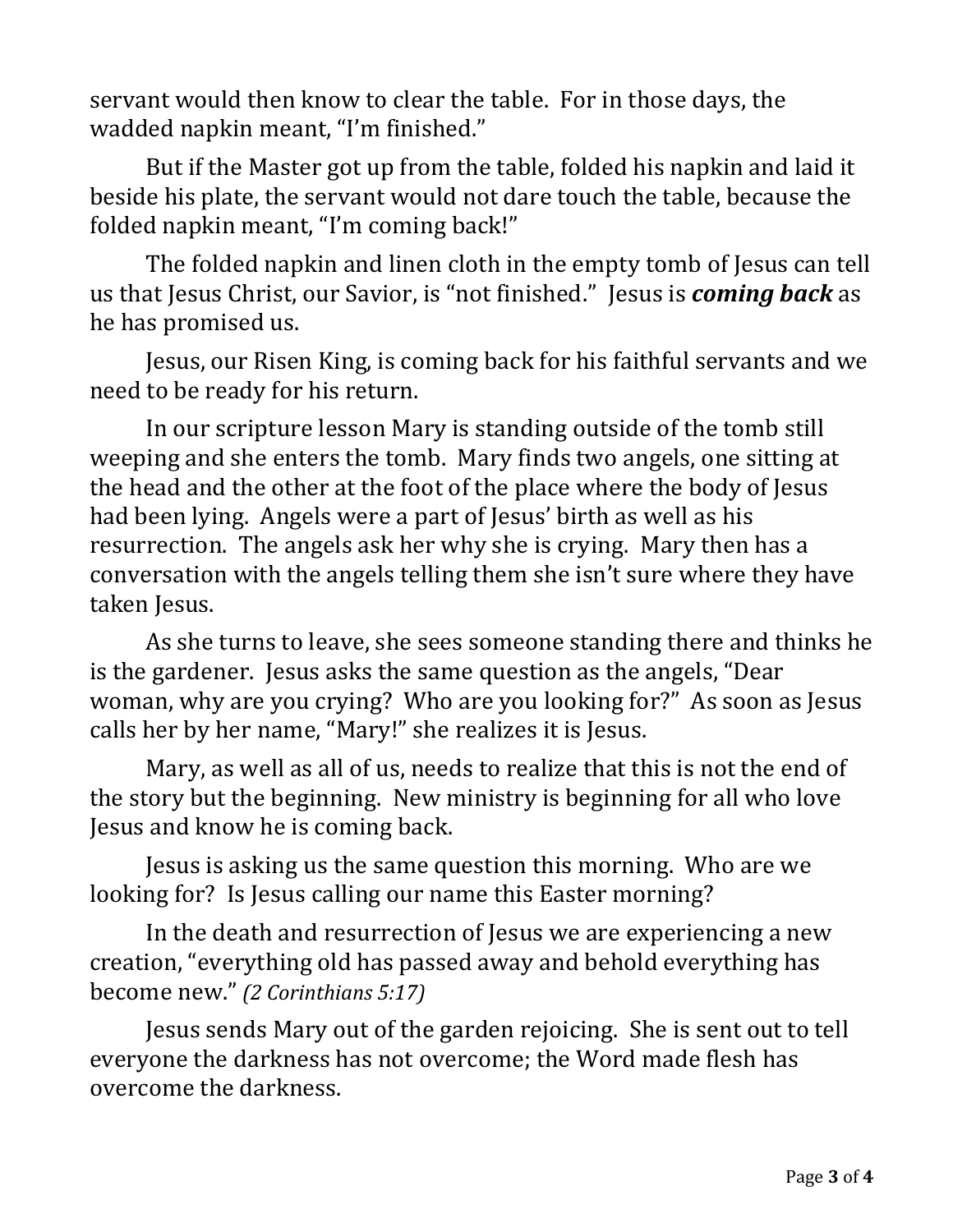servant would then know to clear the table. For in those days, the wadded napkin meant, "I'm finished."

But if the Master got up from the table, folded his napkin and laid it beside his plate, the servant would not dare touch the table, because the folded napkin meant, "I'm coming back!"

The folded napkin and linen cloth in the empty tomb of Jesus can tell us that Jesus Christ, our Savior, is "not finished." Jesus is *coming back* as he has promised us.

Jesus, our Risen King, is coming back for his faithful servants and we need to be ready for his return.

In our scripture lesson Mary is standing outside of the tomb still weeping and she enters the tomb. Mary finds two angels, one sitting at the head and the other at the foot of the place where the body of Jesus had been lying. Angels were a part of Jesus' birth as well as his resurrection. The angels ask her why she is crying. Mary then has a conversation with the angels telling them she isn't sure where they have taken Jesus.

As she turns to leave, she sees someone standing there and thinks he is the gardener. Jesus asks the same question as the angels, "Dear woman, why are you crying? Who are you looking for?" As soon as Jesus calls her by her name, "Mary!" she realizes it is Jesus.

Mary, as well as all of us, needs to realize that this is not the end of the story but the beginning. New ministry is beginning for all who love Jesus and know he is coming back.

Jesus is asking us the same question this morning. Who are we looking for? Is Jesus calling our name this Easter morning?

In the death and resurrection of Jesus we are experiencing a new creation, "everything old has passed away and behold everything has become new." *(2 Corinthians 5:17)*

Jesus sends Mary out of the garden rejoicing. She is sent out to tell everyone the darkness has not overcome; the Word made flesh has overcome the darkness.